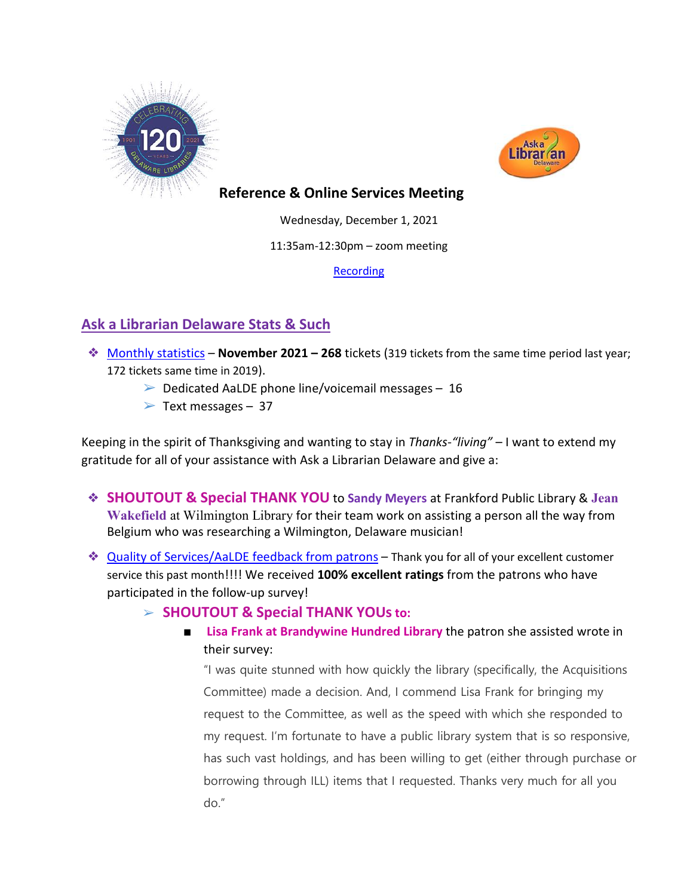



## **Reference & Online Services Meeting**

Wednesday, December 1, 2021

11:35am-12:30pm – zoom meeting

**[Recording](https://youtu.be/ajNDNdujV2g)** 

# **Ask a Librarian Delaware Stats & Such**

- ❖ [Monthly statistics](https://aalstaff.lib.de.us/home/reports/fy22-monthly-reports/) **November 2021 – 268** tickets (319 tickets from the same time period last year; 172 tickets same time in 2019).
	- $\triangleright$  Dedicated AaLDE phone line/voicemail messages 16
	- $\triangleright$  Text messages 37

Keeping in the spirit of Thanksgiving and wanting to stay in *Thanks-"living"* – I want to extend my gratitude for all of your assistance with Ask a Librarian Delaware and give a:

- ❖ **SHOUTOUT & Special THANK YOU** to **Sandy Meyers** at Frankford Public Library & **Jean Wakefield** at Wilmington Library for their team work on assisting a person all the way from Belgium who was researching a Wilmington, Delaware musician!
- ❖ [Quality of Services/](https://ask.springshare.com/libanswers/faq/2830)AaLDE feedback from patrons Thank you for all of your excellent customer service this past month!!!! We received **100% excellent ratings** from the patrons who have participated in the follow-up survey!

### ➢ **SHOUTOUT & Special THANK YOUsto:**

■ **Lisa Frank at Brandywine Hundred Library** the patron she assisted wrote in their survey:

"I was quite stunned with how quickly the library (specifically, the Acquisitions Committee) made a decision. And, I commend Lisa Frank for bringing my request to the Committee, as well as the speed with which she responded to my request. I'm fortunate to have a public library system that is so responsive, has such vast holdings, and has been willing to get (either through purchase or borrowing through ILL) items that I requested. Thanks very much for all you do."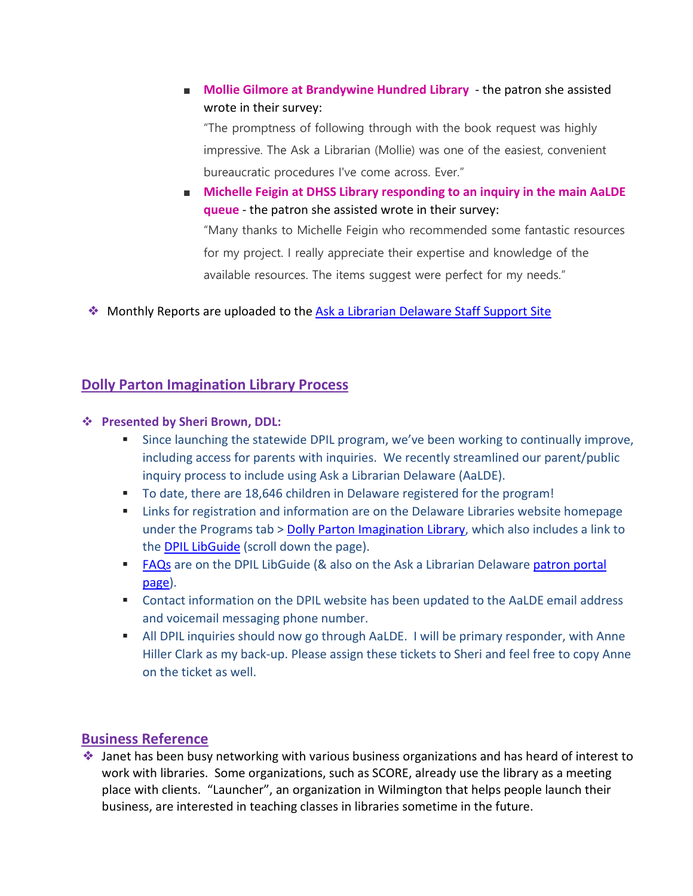■ **Mollie Gilmore at Brandywine Hundred Library** - the patron she assisted wrote in their survey:

"The promptness of following through with the book request was highly impressive. The Ask a Librarian (Mollie) was one of the easiest, convenient bureaucratic procedures I've come across. Ever."

■ **Michelle Feigin at DHSS Library responding to an inquiry in the main AaLDE queue** - the patron she assisted wrote in their survey: "Many thanks to Michelle Feigin who recommended some fantastic resources for my project. I really appreciate their expertise and knowledge of the available resources. The items suggest were perfect for my needs."

❖ Monthly Reports are uploaded to the [Ask a Librarian Delaware Staff Support Site](https://aalstaff.lib.de.us/home/reports/fy21-monthly-reports/)

### **Dolly Parton Imagination Library Process**

#### **Presented by Sheri Brown, DDL:**

- Since launching the statewide DPIL program, we've been working to continually improve, including access for parents with inquiries. We recently streamlined our parent/public inquiry process to include using Ask a Librarian Delaware (AaLDE).
- To date, there are 18,646 children in Delaware registered for the program!
- **EXECT** Links for registration and information are on the Delaware Libraries website homepage under the Programs tab > [Dolly Parton Imagination Library,](https://lib.de.us/imagination/) which also includes a link to the **DPIL LibGuide** (scroll down the page).
- **[FAQs](https://guides.lib.de.us/dpil/faqs)** are on the DPIL LibGuide (& also on the Ask a Librarian Delaware patron portal [page\)](https://answers.delawarelibraries.org/faq/355812).
- Contact information on the DPIL website has been updated to the AaLDE email address and voicemail messaging phone number.
- All DPIL inquiries should now go through AaLDE. I will be primary responder, with Anne Hiller Clark as my back-up. Please assign these tickets to Sheri and feel free to copy Anne on the ticket as well.

### **Business Reference**

❖ Janet has been busy networking with various business organizations and has heard of interest to work with libraries. Some organizations, such as SCORE, already use the library as a meeting place with clients. "Launcher", an organization in Wilmington that helps people launch their business, are interested in teaching classes in libraries sometime in the future.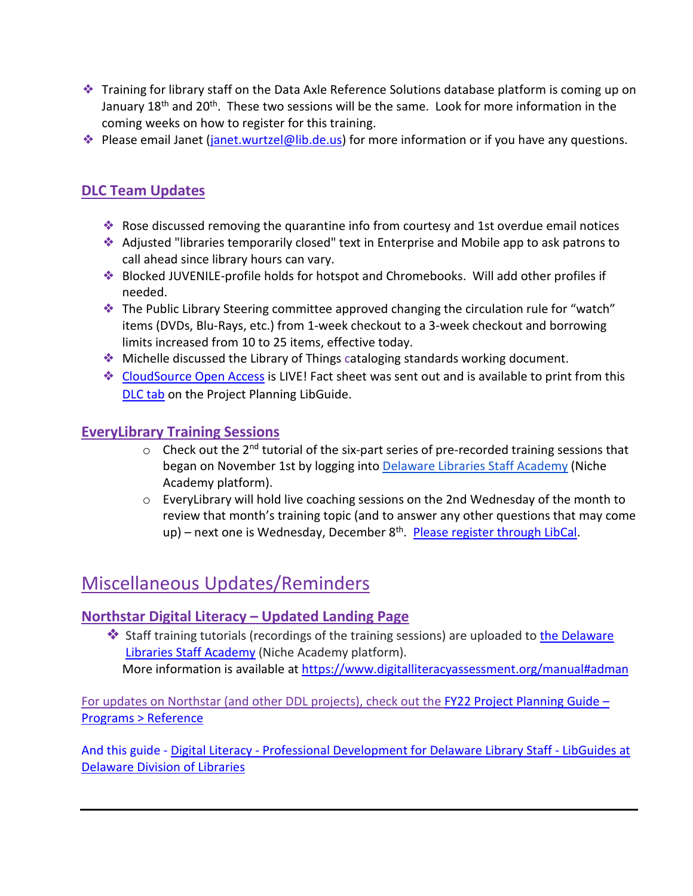- ❖ Training for library staff on the Data Axle Reference Solutions database platform is coming up on January 18<sup>th</sup> and 20<sup>th</sup>. These two sessions will be the same. Look for more information in the coming weeks on how to register for this training.
- ❖ Please email Janet [\(janet.wurtzel@lib.de.us\)](mailto:janet.wurtzel@lib.de.us) for more information or if you have any questions.

# **DLC Team Updates**

- ❖ Rose discussed removing the quarantine info from courtesy and 1st overdue email notices
- ❖ Adjusted "libraries temporarily closed" text in Enterprise and Mobile app to ask patrons to call ahead since library hours can vary.
- ❖ Blocked JUVENILE-profile holds for hotspot and Chromebooks. Will add other profiles if needed.
- ❖ The Public Library Steering committee approved changing the circulation rule for "watch" items (DVDs, Blu-Rays, etc.) from 1-week checkout to a 3-week checkout and borrowing limits increased from 10 to 25 items, effective today.
- ❖ Michelle discussed the Library of Things cataloging standards working document.
- ❖ [CloudSource Open Access](https://dlc.lib.de.us/client/en_US/default/) is LIVE! Fact sheet was sent out and is available to print from this [DLC tab](https://guides.lib.de.us/projectplanning/dlc) on the Project Planning LibGuide.

### **EveryLibrary Training Sessions**

- $\circ$  Check out the 2<sup>nd</sup> tutorial of the six-part series of pre-recorded training sessions that began on November 1st by logging into [Delaware Libraries Staff Academy](https://my.nicheacademy.com/delawarelibrariesstaffacademy) (Niche Academy platform).
- $\circ$  Every Library will hold live coaching sessions on the 2nd Wednesday of the month to review that month's training topic (and to answer any other questions that may come up) – next one is Wednesday, December 8<sup>th</sup>. [Please register through](https://delawarelibraries.libcal.com/event/8379752) LibCal.

# Miscellaneous Updates/Reminders

### **[Northstar Digital Literacy](https://lib.de.us/northstar/) – Updated Landing Page**

❖ Staff training tutorials (recordings of the training sessions) are uploaded to [the Delaware](https://my.nicheacademy.com/delawarelibrariesstaffacademy?category=11828)  [Libraries Staff Academy](https://my.nicheacademy.com/delawarelibrariesstaffacademy?category=11828) (Niche Academy platform). More information is available a[t https://www.digitalliteracyassessment.org/manual#adman](https://www.digitalliteracyassessment.org/manual#adman)

For updates on Northstar (and other DDL projects), check out the [FY22 Project Planning Guide –](https://guides.lib.de.us/projectplanning/programs) [Programs > Reference](https://guides.lib.de.us/projectplanning/programs)

And this guide - Digital Literacy - [Professional Development for Delaware Library Staff -](https://guides.lib.de.us/c.php?g=386101&p=2619968) LibGuides at [Delaware Division of Libraries](https://guides.lib.de.us/c.php?g=386101&p=2619968)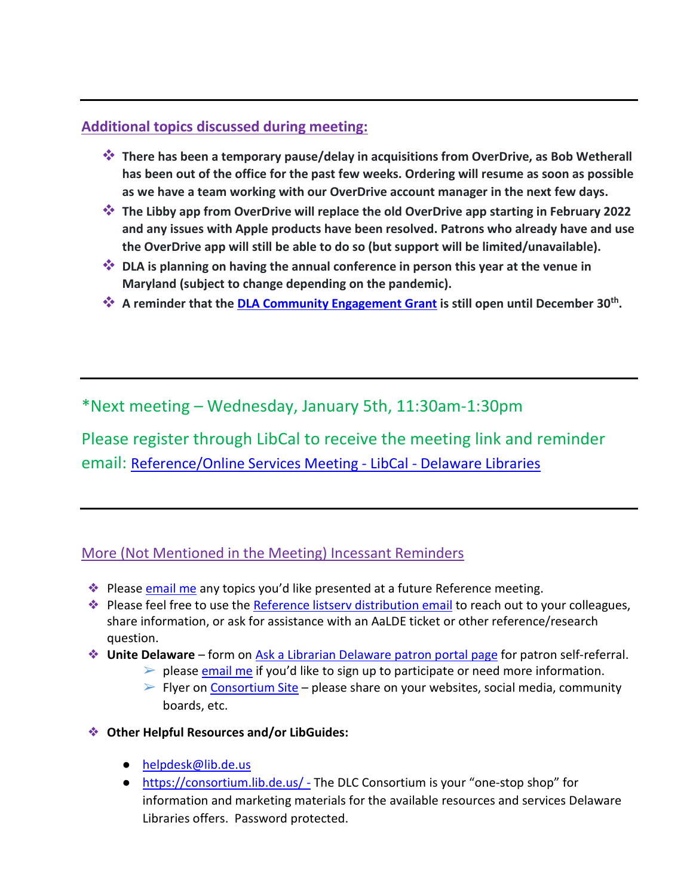## **Additional topics discussed during meeting:**

- **There has been a temporary pause/delay in acquisitions from OverDrive, as Bob Wetherall has been out of the office for the past few weeks. Ordering will resume as soon as possible as we have a team working with our OverDrive account manager in the next few days.**
- **<sup>◆</sup> The Libby app from OverDrive will replace the old OverDrive app starting in February 2022 and any issues with Apple products have been resolved. Patrons who already have and use the OverDrive app will still be able to do so (but support will be limited/unavailable).**
- **<sup>◆</sup> DLA is planning on having the annual conference in person this year at the venue in Maryland (subject to change depending on the pandemic).**
- **A reminder that th[e DLA Community Engagement Grant](https://dla.lib.de.us/about-us/grant/) is still open until December 30th.**

\*Next meeting – Wednesday, January 5th, 11:30am-1:30pm

Please register through LibCal to receive the meeting link and reminder email: Reference/Online Services Meeting - LibCal - Delaware Libraries

### More (Not Mentioned in the Meeting) Incessant Reminders

- ◆ Please [email me](mailto:missy.williams@lib.de.us) any topics you'd like presented at a future Reference meeting.
- ❖ Please feel free to use the [Reference listserv distribution email](mailto:reference@listserv.lib.de.us) to reach out to your colleagues, share information, or ask for assistance with an AaLDE ticket or other reference/research question.
- ❖ **Unite Delaware** form on [Ask a Librarian Delaware patron portal page](https://answers.delawarelibraries.org/) for patron self-referral.
	- $\triangleright$  please [email me](mailto:missy.williams@lib.de.us) if you'd like to sign up to participate or need more information.
	- $\triangleright$  Flyer on [Consortium Site](https://consortium.lib.de.us/marketing/) please share on your websites, social media, community boards, etc.
- ❖ **Other Helpful Resources and/or LibGuides:**
	- [helpdesk@lib.de.us](mailto:helpdesk@lib.de.us)
	- <https://consortium.lib.de.us/> The DLC Consortium is your "one-stop shop" for information and marketing materials for the available resources and services Delaware Libraries offers. Password protected.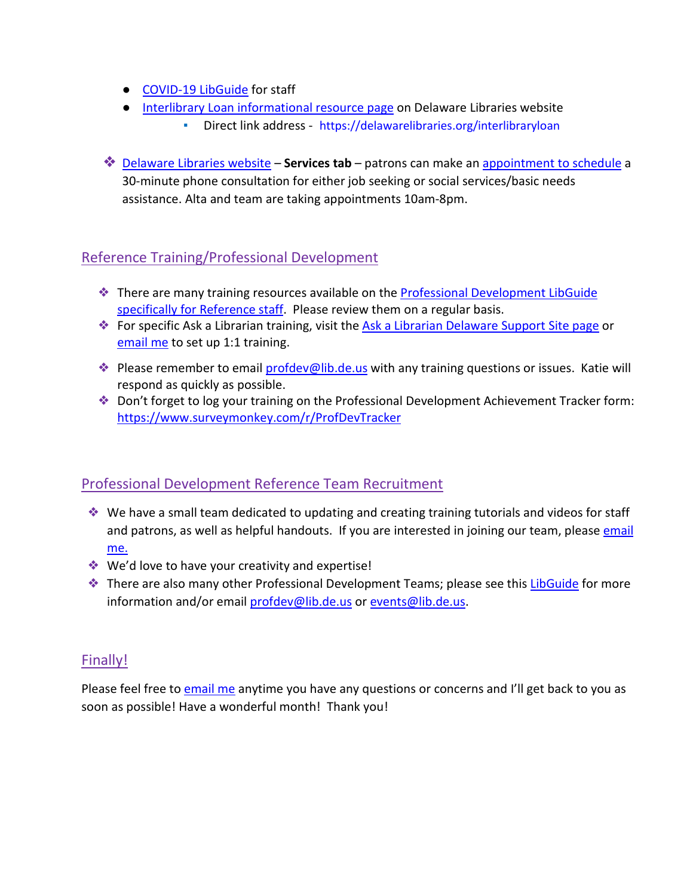- [COVID-19 LibGuide](https://guides.lib.de.us/delibraries/COVID-19) for staff
- [Interlibrary Loan informational resource page](https://lib.de.us/interlibraryloan/) on Delaware Libraries website
	- Direct link address <https://delawarelibraries.org/interlibraryloan>
- ❖ [Delaware Libraries website](https://lib.de.us/) **Services tab** patrons can make an [appointment to schedule](https://delawarelibraries.libcal.com/appointments/) a 30-minute phone consultation for either job seeking or social services/basic needs assistance. Alta and team are taking appointments 10am-8pm.

# Reference Training/Professional Development

- ❖ There are many training resources available on the [Professional Development LibGuide](https://guides.lib.de.us/c.php?g=386101&p=2619930)  [specifically for Reference staff.](https://guides.lib.de.us/c.php?g=386101&p=2619930) Please review them on a regular basis.
- **◆** For specific Ask a Librarian training, visit the [Ask a Librarian Delaware Support Site page](https://aalstaff.lib.de.us/all-meetings-trainings/training-tutorials/) or [email me](mailto:missy.williams@lib.de.us) to set up 1:1 training.
- ◆ Please remember to email [profdev@lib.de.us](mailto:profdev@lib.de.us) with any training questions or issues. Katie will respond as quickly as possible.
- ❖ Don't forget to log your training on the Professional Development Achievement Tracker form: <https://www.surveymonkey.com/r/ProfDevTracker>

# Professional Development Reference Team Recruitment

- ❖ We have a small team dedicated to updating and creating training tutorials and videos for staff and patrons, as well as helpful handouts. If you are interested in joining our team, please [email](mailto:missy.williams@lib.de.us)  [me.](mailto:missy.williams@lib.de.us)
- ❖ We'd love to have your creativity and expertise!
- ❖ There are also many other Professional Development Teams; please see this [LibGuide](https://guides.lib.de.us/profdevteam) for more information and/or email [profdev@lib.de.us](mailto:profdev@lib.de.us) or [events@lib.de.us.](mailto:events@lib.de.us)

# Finally!

Please feel free t[o email me](mailto:missy.williams@lib.de.us) anytime you have any questions or concerns and I'll get back to you as soon as possible! Have a wonderful month! Thank you!